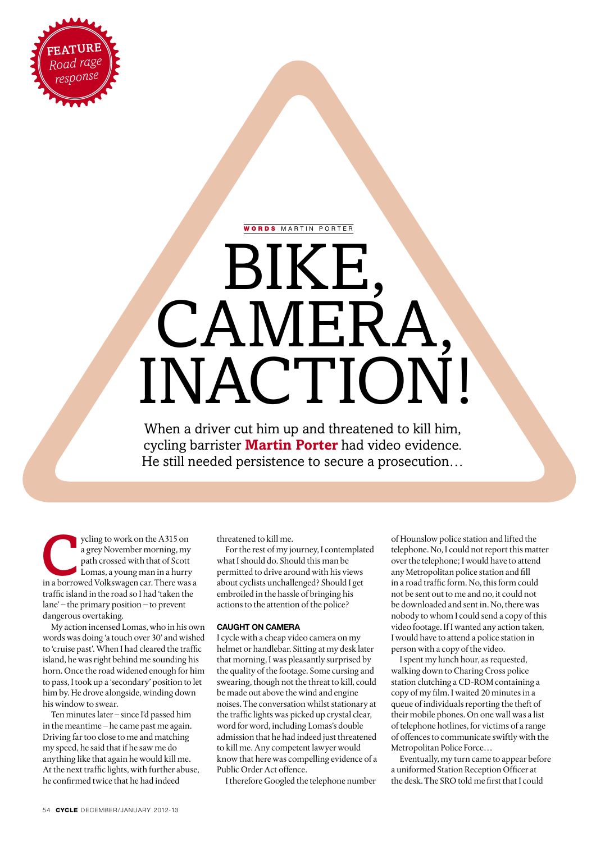

# WORDS MARTIN PORTER

# BIKE, CAMEI INACTION!

When a driver cut him up and threatened to kill him, cycling barrister **Martin Porter** had video evidence. He still needed persistence to secure a prosecution…

ycling to work on the A315 on<br>
a grey November morning, my<br>
path crossed with that of Scott<br>
Lomas, a young man in a hurry<br>
in a borrowed Volkswagen car. There was a a grey November morning, my path crossed with that of Scott Lomas, a young man in a hurry traffic island in the road so I had 'taken the lane' – the primary position – to prevent dangerous overtaking.

My action incensed Lomas, who in his own words was doing 'a touch over 30' and wished to 'cruise past'. When I had cleared the traffic island, he was right behind me sounding his horn. Once the road widened enough for him to pass, I took up a 'secondary' position to let him by. He drove alongside, winding down his window to swear.

Ten minutes later – since I'd passed him in the meantime – he came past me again. Driving far too close to me and matching my speed, he said that if he saw me do anything like that again he would kill me. At the next traffic lights, with further abuse, he confirmed twice that he had indeed

threatened to kill me.

For the rest of my journey, I contemplated what I should do. Should this man be permitted to drive around with his views about cyclists unchallenged? Should I get embroiled in the hassle of bringing his actions to the attention of the police?

# **Caught on camera**

I cycle with a cheap video camera on my helmet or handlebar. Sitting at my desk later that morning, I was pleasantly surprised by the quality of the footage. Some cursing and swearing, though not the threat to kill, could be made out above the wind and engine noises. The conversation whilst stationary at the traffic lights was picked up crystal clear, word for word, including Lomas's double admission that he had indeed just threatened to kill me. Any competent lawyer would know that here was compelling evidence of a Public Order Act offence.

I therefore Googled the telephone number

of Hounslow police station and lifted the telephone. No, I could not report this matter over the telephone; I would have to attend any Metropolitan police station and fill in a road traffic form. No, this form could not be sent out to me and no, it could not be downloaded and sent in. No, there was nobody to whom I could send a copy of this video footage. If I wanted any action taken, I would have to attend a police station in person with a copy of the video.

I spent my lunch hour, as requested, walking down to Charing Cross police station clutching a CD-ROM containing a copy of my film. I waited 20 minutes in a queue of individuals reporting the theft of their mobile phones. On one wall was a list of telephone hotlines, for victims of a range of offences to communicate swiftly with the Metropolitan Police Force…

Eventually, my turn came to appear before a uniformed Station Reception Officer at the desk. The SRO told me first that I could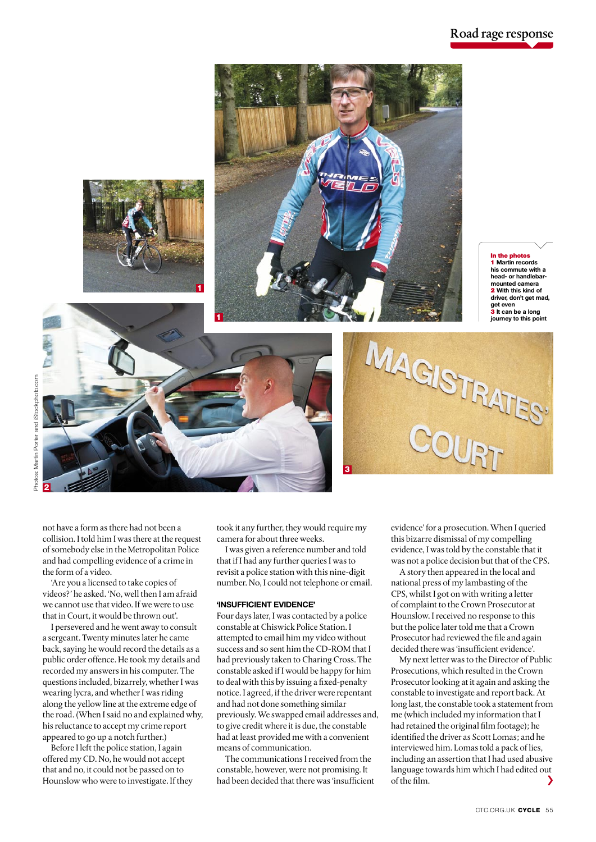

**2**

not have a form as there had not been a collision. I told him I was there at the request of somebody else in the Metropolitan Police and had compelling evidence of a crime in the form of a video.

'Are you a licensed to take copies of videos?' he asked. 'No, well then I am afraid we cannot use that video. If we were to use that in Court, it would be thrown out'.

I persevered and he went away to consult a sergeant. Twenty minutes later he came back, saying he would record the details as a public order offence. He took my details and recorded my answers in his computer. The questions included, bizarrely, whether I was wearing lycra, and whether I was riding along the yellow line at the extreme edge of the road. (When I said no and explained why, his reluctance to accept my crime report appeared to go up a notch further.)

Before I left the police station, I again offered my CD. No, he would not accept that and no, it could not be passed on to Hounslow who were to investigate. If they took it any further, they would require my camera for about three weeks.

**3**

I was given a reference number and told that if I had any further queries I was to revisit a police station with this nine-digit number. No, I could not telephone or email.

#### **'Insufficient evidence'**

Four days later, I was contacted by a police constable at Chiswick Police Station. I attempted to email him my video without success and so sent him the CD-ROM that I had previously taken to Charing Cross. The constable asked if I would be happy for him to deal with this by issuing a fixed-penalty notice. I agreed, if the driver were repentant and had not done something similar previously. We swapped email addresses and, to give credit where it is due, the constable had at least provided me with a convenient means of communication.

The communications I received from the constable, however, were not promising. It had been decided that there was 'insufficient evidence' for a prosecution. When I queried this bizarre dismissal of my compelling evidence, I was told by the constable that it was not a police decision but that of the CPS.

A story then appeared in the local and national press of my lambasting of the CPS, whilst I got on with writing a letter of complaint to the Crown Prosecutor at Hounslow. I received no response to this but the police later told me that a Crown Prosecutor had reviewed the file and again decided there was 'insufficient evidence'.

My next letter was to the Director of Public Prosecutions, which resulted in the Crown Prosecutor looking at it again and asking the constable to investigate and report back. At long last, the constable took a statement from me (which included my information that I had retained the original film footage); he identified the driver as Scott Lomas; and he interviewed him. Lomas told a pack of lies, including an assertion that I had used abusive language towards him which I had edited out of the film.